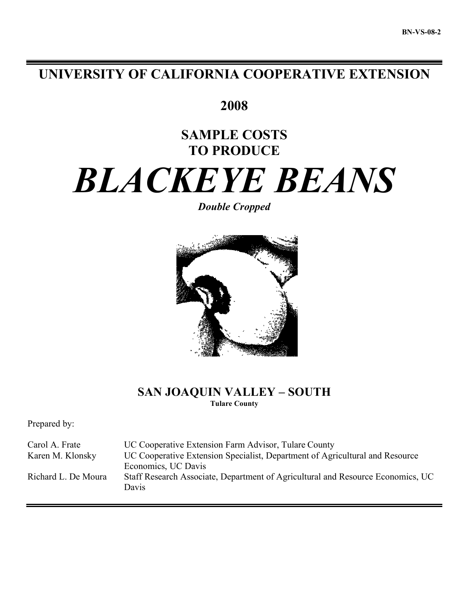# **UNIVERSITY OF CALIFORNIA COOPERATIVE EXTENSION**

**2008**

# **SAMPLE COSTS TO PRODUCE**

# *BLACKEYE BEANS*

*Double Cropped*



## **SAN JOAQUIN VALLEY – SOUTH Tulare County**

Prepared by:

Carol A. Frate UC Cooperative Extension Farm Advisor, Tulare County Karen M. Klonsky UC Cooperative Extension Specialist, Department of Agricultural and Resource Economics, UC Davis Richard L. De Moura Staff Research Associate, Department of Agricultural and Resource Economics, UC Davis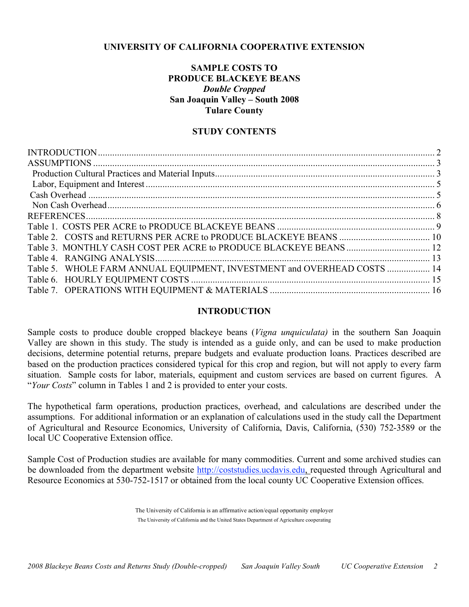## **UNIVERSITY OF CALIFORNIA COOPERATIVE EXTENSION**

## **SAMPLE COSTS TO PRODUCE BLACKEYE BEANS** *Double Cropped* **San Joaquin Valley – South 2008 Tulare County**

## **STUDY CONTENTS**

| Table 5. WHOLE FARM ANNUAL EQUIPMENT, INVESTMENT and OVERHEAD COSTS  14 |  |
|-------------------------------------------------------------------------|--|
|                                                                         |  |
|                                                                         |  |
|                                                                         |  |

## **INTRODUCTION**

Sample costs to produce double cropped blackeye beans (*Vigna unquiculata)* in the southern San Joaquin Valley are shown in this study. The study is intended as a guide only, and can be used to make production decisions, determine potential returns, prepare budgets and evaluate production loans. Practices described are based on the production practices considered typical for this crop and region, but will not apply to every farm situation. Sample costs for labor, materials, equipment and custom services are based on current figures. A "*Your Costs*" column in Tables 1 and 2 is provided to enter your costs.

The hypothetical farm operations, production practices, overhead, and calculations are described under the assumptions. For additional information or an explanation of calculations used in the study call the Department of Agricultural and Resource Economics, University of California, Davis, California, (530) 752-3589 or the local UC Cooperative Extension office.

Sample Cost of Production studies are available for many commodities. Current and some archived studies can be downloaded from the department website http://coststudies.ucdavis.edu, requested through Agricultural and Resource Economics at 530-752-1517 or obtained from the local county UC Cooperative Extension offices.

> The University of California is an affirmative action/equal opportunity employer The University of California and the United States Department of Agriculture cooperating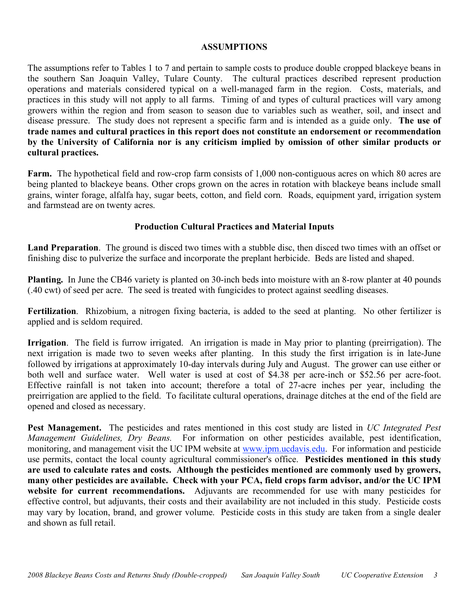## **ASSUMPTIONS**

The assumptions refer to Tables 1 to 7 and pertain to sample costs to produce double cropped blackeye beans in the southern San Joaquin Valley, Tulare County. The cultural practices described represent production operations and materials considered typical on a well-managed farm in the region. Costs, materials, and practices in this study will not apply to all farms. Timing of and types of cultural practices will vary among growers within the region and from season to season due to variables such as weather, soil, and insect and disease pressure. The study does not represent a specific farm and is intended as a guide only. **The use of trade names and cultural practices in this report does not constitute an endorsement or recommendation by the University of California nor is any criticism implied by omission of other similar products or cultural practices.**

**Farm.** The hypothetical field and row-crop farm consists of 1,000 non-contiguous acres on which 80 acres are being planted to blackeye beans. Other crops grown on the acres in rotation with blackeye beans include small grains, winter forage, alfalfa hay, sugar beets, cotton, and field corn. Roads, equipment yard, irrigation system and farmstead are on twenty acres.

## **Production Cultural Practices and Material Inputs**

**Land Preparation**. The ground is disced two times with a stubble disc, then disced two times with an offset or finishing disc to pulverize the surface and incorporate the preplant herbicide. Beds are listed and shaped.

**Planting.** In June the CB46 variety is planted on 30-inch beds into moisture with an 8-row planter at 40 pounds (.40 cwt) of seed per acre. The seed is treated with fungicides to protect against seedling diseases.

**Fertilization**. Rhizobium, a nitrogen fixing bacteria, is added to the seed at planting. No other fertilizer is applied and is seldom required.

**Irrigation**. The field is furrow irrigated. An irrigation is made in May prior to planting (preirrigation). The next irrigation is made two to seven weeks after planting. In this study the first irrigation is in late-June followed by irrigations at approximately 10-day intervals during July and August. The grower can use either or both well and surface water. Well water is used at cost of \$4.38 per acre-inch or \$52.56 per acre-foot. Effective rainfall is not taken into account; therefore a total of 27-acre inches per year, including the preirrigation are applied to the field. To facilitate cultural operations, drainage ditches at the end of the field are opened and closed as necessary.

**Pest Management.** The pesticides and rates mentioned in this cost study are listed in *UC Integrated Pest Management Guidelines, Dry Beans.* For information on other pesticides available, pest identification, monitoring, and management visit the UC IPM website at www.ipm.ucdavis.edu. For information and pesticide use permits, contact the local county agricultural commissioner's office. **Pesticides mentioned in this study are used to calculate rates and costs. Although the pesticides mentioned are commonly used by growers, many other pesticides are available. Check with your PCA, field crops farm advisor, and/or the UC IPM website for current recommendations.** Adjuvants are recommended for use with many pesticides for effective control, but adjuvants, their costs and their availability are not included in this study. Pesticide costs may vary by location, brand, and grower volume. Pesticide costs in this study are taken from a single dealer and shown as full retail.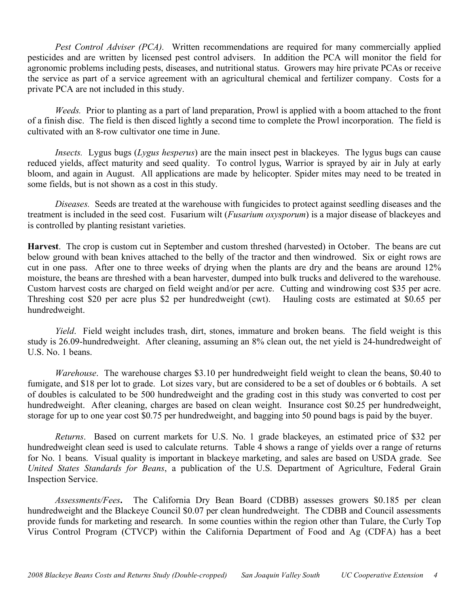*Pest Control Adviser (PCA).* Written recommendations are required for many commercially applied pesticides and are written by licensed pest control advisers. In addition the PCA will monitor the field for agronomic problems including pests, diseases, and nutritional status. Growers may hire private PCAs or receive the service as part of a service agreement with an agricultural chemical and fertilizer company. Costs for a private PCA are not included in this study.

*Weeds.* Prior to planting as a part of land preparation, Prowl is applied with a boom attached to the front of a finish disc. The field is then disced lightly a second time to complete the Prowl incorporation. The field is cultivated with an 8-row cultivator one time in June.

*Insects.* Lygus bugs (*Lygus hesperus*) are the main insect pest in blackeyes. The lygus bugs can cause reduced yields, affect maturity and seed quality. To control lygus, Warrior is sprayed by air in July at early bloom, and again in August. All applications are made by helicopter. Spider mites may need to be treated in some fields, but is not shown as a cost in this study.

*Diseases.* Seeds are treated at the warehouse with fungicides to protect against seedling diseases and the treatment is included in the seed cost. Fusarium wilt (*Fusarium oxysporum*) is a major disease of blackeyes and is controlled by planting resistant varieties.

**Harvest**. The crop is custom cut in September and custom threshed (harvested) in October. The beans are cut below ground with bean knives attached to the belly of the tractor and then windrowed. Six or eight rows are cut in one pass. After one to three weeks of drying when the plants are dry and the beans are around 12% moisture, the beans are threshed with a bean harvester, dumped into bulk trucks and delivered to the warehouse. Custom harvest costs are charged on field weight and/or per acre. Cutting and windrowing cost \$35 per acre. Threshing cost \$20 per acre plus \$2 per hundredweight (cwt). Hauling costs are estimated at \$0.65 per hundredweight.

*Yield*. Field weight includes trash, dirt, stones, immature and broken beans. The field weight is this study is 26.09-hundredweight. After cleaning, assuming an 8% clean out, the net yield is 24-hundredweight of U.S. No. 1 beans.

*Warehouse*. The warehouse charges \$3.10 per hundredweight field weight to clean the beans, \$0.40 to fumigate, and \$18 per lot to grade. Lot sizes vary, but are considered to be a set of doubles or 6 bobtails. A set of doubles is calculated to be 500 hundredweight and the grading cost in this study was converted to cost per hundredweight. After cleaning, charges are based on clean weight. Insurance cost \$0.25 per hundredweight, storage for up to one year cost \$0.75 per hundredweight, and bagging into 50 pound bags is paid by the buyer.

*Returns*. Based on current markets for U.S. No. 1 grade blackeyes, an estimated price of \$32 per hundredweight clean seed is used to calculate returns. Table 4 shows a range of yields over a range of returns for No. 1 beans. Visual quality is important in blackeye marketing, and sales are based on USDA grade. See *United States Standards for Beans*, a publication of the U.S. Department of Agriculture, Federal Grain Inspection Service.

*Assessments/Fees***.** The California Dry Bean Board (CDBB) assesses growers \$0.185 per clean hundredweight and the Blackeye Council \$0.07 per clean hundredweight. The CDBB and Council assessments provide funds for marketing and research. In some counties within the region other than Tulare, the Curly Top Virus Control Program (CTVCP) within the California Department of Food and Ag (CDFA) has a beet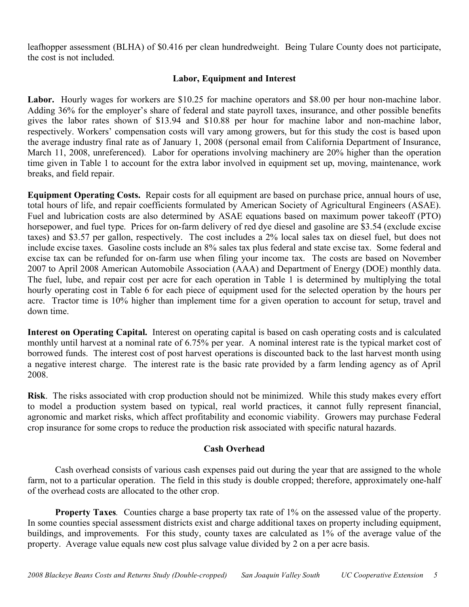leafhopper assessment (BLHA) of \$0.416 per clean hundredweight. Being Tulare County does not participate, the cost is not included.

## **Labor, Equipment and Interest**

Labor. Hourly wages for workers are \$10.25 for machine operators and \$8.00 per hour non-machine labor. Adding 36% for the employer's share of federal and state payroll taxes, insurance, and other possible benefits gives the labor rates shown of \$13.94 and \$10.88 per hour for machine labor and non-machine labor, respectively. Workers' compensation costs will vary among growers, but for this study the cost is based upon the average industry final rate as of January 1, 2008 (personal email from California Department of Insurance, March 11, 2008, unreferenced). Labor for operations involving machinery are 20% higher than the operation time given in Table 1 to account for the extra labor involved in equipment set up, moving, maintenance, work breaks, and field repair.

**Equipment Operating Costs.** Repair costs for all equipment are based on purchase price, annual hours of use, total hours of life, and repair coefficients formulated by American Society of Agricultural Engineers (ASAE). Fuel and lubrication costs are also determined by ASAE equations based on maximum power takeoff (PTO) horsepower, and fuel type. Prices for on-farm delivery of red dye diesel and gasoline are \$3.54 (exclude excise taxes) and \$3.57 per gallon, respectively. The cost includes a 2% local sales tax on diesel fuel, but does not include excise taxes. Gasoline costs include an 8% sales tax plus federal and state excise tax. Some federal and excise tax can be refunded for on-farm use when filing your income tax. The costs are based on November 2007 to April 2008 American Automobile Association (AAA) and Department of Energy (DOE) monthly data. The fuel, lube, and repair cost per acre for each operation in Table 1 is determined by multiplying the total hourly operating cost in Table 6 for each piece of equipment used for the selected operation by the hours per acre. Tractor time is 10% higher than implement time for a given operation to account for setup, travel and down time.

**Interest on Operating Capital.** Interest on operating capital is based on cash operating costs and is calculated monthly until harvest at a nominal rate of 6.75% per year. A nominal interest rate is the typical market cost of borrowed funds. The interest cost of post harvest operations is discounted back to the last harvest month using a negative interest charge. The interest rate is the basic rate provided by a farm lending agency as of April 2008.

**Risk**. The risks associated with crop production should not be minimized. While this study makes every effort to model a production system based on typical, real world practices, it cannot fully represent financial, agronomic and market risks, which affect profitability and economic viability. Growers may purchase Federal crop insurance for some crops to reduce the production risk associated with specific natural hazards.

## **Cash Overhead**

Cash overhead consists of various cash expenses paid out during the year that are assigned to the whole farm, not to a particular operation. The field in this study is double cropped; therefore, approximately one-half of the overhead costs are allocated to the other crop.

**Property Taxes***.* Counties charge a base property tax rate of 1% on the assessed value of the property. In some counties special assessment districts exist and charge additional taxes on property including equipment, buildings, and improvements. For this study, county taxes are calculated as 1% of the average value of the property. Average value equals new cost plus salvage value divided by 2 on a per acre basis.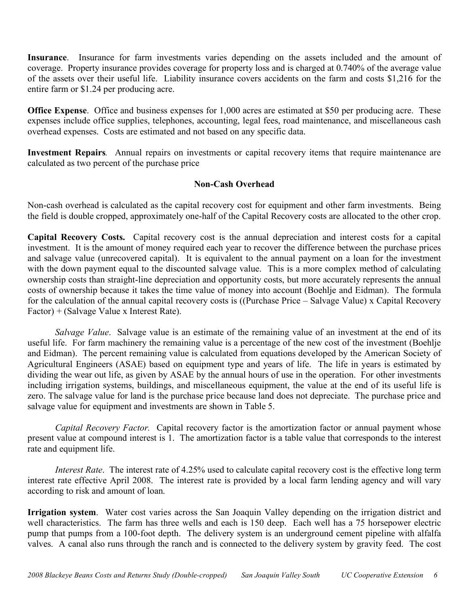**Insurance**. Insurance for farm investments varies depending on the assets included and the amount of coverage. Property insurance provides coverage for property loss and is charged at 0.740% of the average value of the assets over their useful life. Liability insurance covers accidents on the farm and costs \$1,216 for the entire farm or \$1.24 per producing acre.

**Office Expense**. Office and business expenses for 1,000 acres are estimated at \$50 per producing acre. These expenses include office supplies, telephones, accounting, legal fees, road maintenance, and miscellaneous cash overhead expenses. Costs are estimated and not based on any specific data.

**Investment Repairs***.* Annual repairs on investments or capital recovery items that require maintenance are calculated as two percent of the purchase price

## **Non-Cash Overhead**

Non-cash overhead is calculated as the capital recovery cost for equipment and other farm investments. Being the field is double cropped, approximately one-half of the Capital Recovery costs are allocated to the other crop.

**Capital Recovery Costs.** Capital recovery cost is the annual depreciation and interest costs for a capital investment. It is the amount of money required each year to recover the difference between the purchase prices and salvage value (unrecovered capital). It is equivalent to the annual payment on a loan for the investment with the down payment equal to the discounted salvage value. This is a more complex method of calculating ownership costs than straight-line depreciation and opportunity costs, but more accurately represents the annual costs of ownership because it takes the time value of money into account (Boehlje and Eidman). The formula for the calculation of the annual capital recovery costs is ((Purchase Price – Salvage Value) x Capital Recovery Factor) + (Salvage Value x Interest Rate).

*Salvage Value*. Salvage value is an estimate of the remaining value of an investment at the end of its useful life. For farm machinery the remaining value is a percentage of the new cost of the investment (Boehlje and Eidman). The percent remaining value is calculated from equations developed by the American Society of Agricultural Engineers (ASAE) based on equipment type and years of life. The life in years is estimated by dividing the wear out life, as given by ASAE by the annual hours of use in the operation. For other investments including irrigation systems, buildings, and miscellaneous equipment, the value at the end of its useful life is zero. The salvage value for land is the purchase price because land does not depreciate. The purchase price and salvage value for equipment and investments are shown in Table 5.

*Capital Recovery Factor.* Capital recovery factor is the amortization factor or annual payment whose present value at compound interest is 1. The amortization factor is a table value that corresponds to the interest rate and equipment life.

*Interest Rate*. The interest rate of 4.25% used to calculate capital recovery cost is the effective long term interest rate effective April 2008. The interest rate is provided by a local farm lending agency and will vary according to risk and amount of loan.

**Irrigation system**. Water cost varies across the San Joaquin Valley depending on the irrigation district and well characteristics. The farm has three wells and each is 150 deep. Each well has a 75 horsepower electric pump that pumps from a 100-foot depth. The delivery system is an underground cement pipeline with alfalfa valves. A canal also runs through the ranch and is connected to the delivery system by gravity feed. The cost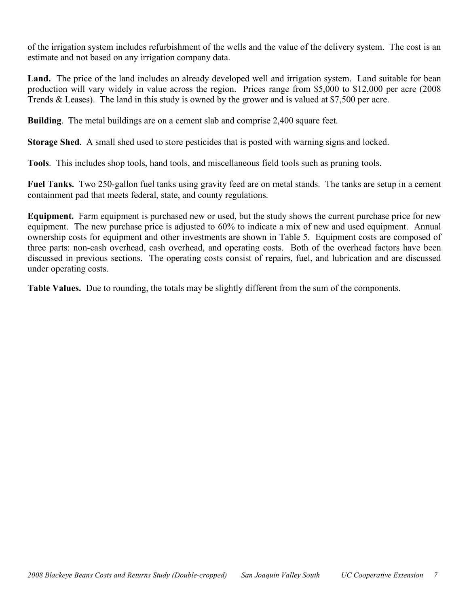of the irrigation system includes refurbishment of the wells and the value of the delivery system. The cost is an estimate and not based on any irrigation company data.

Land. The price of the land includes an already developed well and irrigation system. Land suitable for bean production will vary widely in value across the region. Prices range from \$5,000 to \$12,000 per acre (2008 Trends & Leases). The land in this study is owned by the grower and is valued at \$7,500 per acre.

**Building**. The metal buildings are on a cement slab and comprise 2,400 square feet.

**Storage Shed**. A small shed used to store pesticides that is posted with warning signs and locked.

**Tools**. This includes shop tools, hand tools, and miscellaneous field tools such as pruning tools.

**Fuel Tanks.** Two 250-gallon fuel tanks using gravity feed are on metal stands. The tanks are setup in a cement containment pad that meets federal, state, and county regulations.

**Equipment.** Farm equipment is purchased new or used, but the study shows the current purchase price for new equipment. The new purchase price is adjusted to 60% to indicate a mix of new and used equipment. Annual ownership costs for equipment and other investments are shown in Table 5. Equipment costs are composed of three parts: non-cash overhead, cash overhead, and operating costs. Both of the overhead factors have been discussed in previous sections. The operating costs consist of repairs, fuel, and lubrication and are discussed under operating costs.

**Table Values.** Due to rounding, the totals may be slightly different from the sum of the components.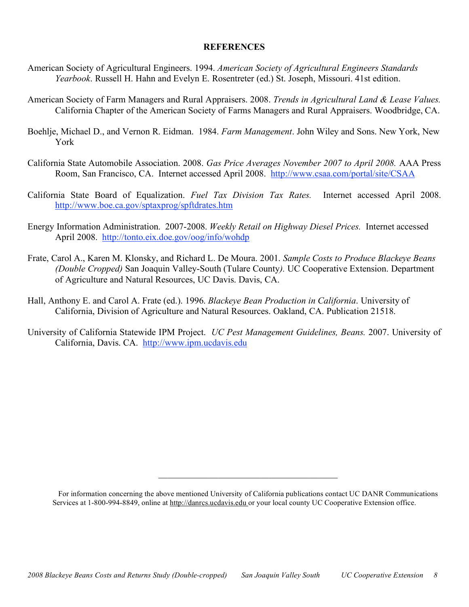## **REFERENCES**

- American Society of Agricultural Engineers. 1994. *American Society of Agricultural Engineers Standards Yearbook*. Russell H. Hahn and Evelyn E. Rosentreter (ed.) St. Joseph, Missouri. 41st edition.
- American Society of Farm Managers and Rural Appraisers. 2008. *Trends in Agricultural Land & Lease Values.* California Chapter of the American Society of Farms Managers and Rural Appraisers. Woodbridge, CA.
- Boehlje, Michael D., and Vernon R. Eidman. 1984. *Farm Management*. John Wiley and Sons. New York, New York
- California State Automobile Association. 2008. *Gas Price Averages November 2007 to April 2008.* AAA Press Room, San Francisco, CA. Internet accessed April 2008. http://www.csaa.com/portal/site/CSAA
- California State Board of Equalization. *Fuel Tax Division Tax Rates.* Internet accessed April 2008. http://www.boe.ca.gov/sptaxprog/spftdrates.htm
- Energy Information Administration. 2007-2008. *Weekly Retail on Highway Diesel Prices.* Internet accessed April 2008. http://tonto.eix.doe.gov/oog/info/wohdp
- Frate, Carol A., Karen M. Klonsky, and Richard L. De Moura. 2001. *Sample Costs to Produce Blackeye Beans (Double Cropped)* San Joaquin Valley-South (Tulare County*).* UC Cooperative Extension. Department of Agriculture and Natural Resources, UC Davis. Davis, CA.
- Hall, Anthony E. and Carol A. Frate (ed.). 1996. *Blackeye Bean Production in California*. University of California, Division of Agriculture and Natural Resources. Oakland, CA. Publication 21518.
- University of California Statewide IPM Project. *UC Pest Management Guidelines, Beans.* 2007. University of California, Davis. CA. http://www.ipm.ucdavis.edu

 $\mathcal{L}_\text{max}$  and  $\mathcal{L}_\text{max}$  and  $\mathcal{L}_\text{max}$  and  $\mathcal{L}_\text{max}$ 

For information concerning the above mentioned University of California publications contact UC DANR Communications Services at 1-800-994-8849, online at http://danrcs.ucdavis.edu or your local county UC Cooperative Extension office.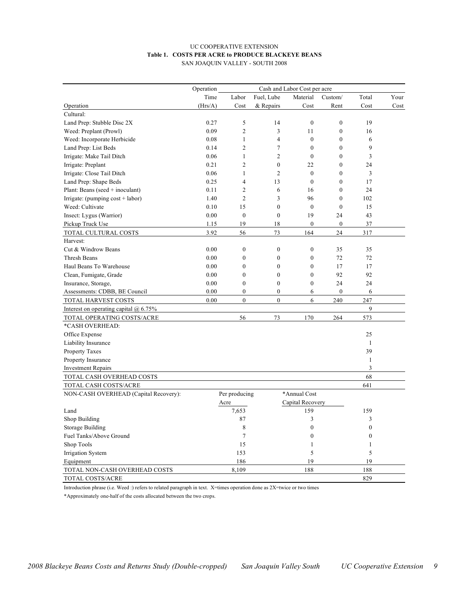#### UC COOPERATIVE EXTENSION **Table 1. COSTS PER ACRE to PRODUCE BLACKEYE BEANS** SAN JOAQUIN VALLEY - SOUTH 2008

|                                         | Operation<br>Cash and Labor Cost per acre |                  |                  |                  |                  |              |      |  |
|-----------------------------------------|-------------------------------------------|------------------|------------------|------------------|------------------|--------------|------|--|
|                                         | Time                                      | Labor            | Fuel, Lube       | Material         | Custom/          | Total        | Your |  |
| Operation                               | (Hrs/A)                                   | Cost             | & Repairs        | Cost             | Rent             | Cost         | Cost |  |
| Cultural:                               |                                           |                  |                  |                  |                  |              |      |  |
| Land Prep: Stubble Disc 2X              | 0.27                                      | 5                | 14               | $\mathbf{0}$     | $\mathbf{0}$     | 19           |      |  |
| Weed: Preplant (Prowl)                  | 0.09                                      | $\overline{c}$   | 3                | 11               | $\boldsymbol{0}$ | 16           |      |  |
| Weed: Incorporate Herbicide             | 0.08                                      | $\mathbf{1}$     | 4                | $\mathbf{0}$     | $\mathbf{0}$     | 6            |      |  |
| Land Prep: List Beds                    | 0.14                                      | $\overline{c}$   | 7                | $\mathbf{0}$     | $\mathbf{0}$     | 9            |      |  |
| Irrigate: Make Tail Ditch               | 0.06                                      | 1                | $\overline{c}$   | $\mathbf{0}$     | $\mathbf{0}$     | 3            |      |  |
| Irrigate: Preplant                      | 0.21                                      | $\overline{c}$   | $\mathbf{0}$     | 22               | $\mathbf{0}$     | 24           |      |  |
| Irrigate: Close Tail Ditch              | 0.06                                      | 1                | $\overline{c}$   | $\mathbf{0}$     | $\mathbf{0}$     | 3            |      |  |
| Land Prep: Shape Beds                   | 0.25                                      | $\overline{4}$   | 13               | $\mathbf{0}$     | $\mathbf{0}$     | 17           |      |  |
| Plant: Beans (seed $+$ inoculant)       | 0.11                                      | $\overline{c}$   | 6                | 16               | $\mathbf{0}$     | 24           |      |  |
| Irrigate: (pumping $cost + labor$ )     | 1.40                                      | $\overline{c}$   | $\overline{3}$   | 96               | $\mathbf{0}$     | 102          |      |  |
| Weed: Cultivate                         | 0.10                                      | 15               | $\overline{0}$   | $\mathbf{0}$     | $\mathbf{0}$     | 15           |      |  |
| Insect: Lygus (Warrior)                 | 0.00                                      | $\mathbf{0}$     | $\overline{0}$   | 19               | 24               | 43           |      |  |
| Pickup Truck Use                        | 1.15                                      | 19               | 18               | $\boldsymbol{0}$ | $\boldsymbol{0}$ | 37           |      |  |
| TOTAL CULTURAL COSTS                    | 3.92                                      | 56               | 73               | 164              | 24               | 317          |      |  |
| Harvest:                                |                                           |                  |                  |                  |                  |              |      |  |
| Cut & Windrow Beans                     | 0.00                                      | $\boldsymbol{0}$ | $\boldsymbol{0}$ | $\boldsymbol{0}$ | 35               | 35           |      |  |
| Thresh Beans                            | 0.00                                      | $\boldsymbol{0}$ | $\boldsymbol{0}$ | $\boldsymbol{0}$ | 72               | 72           |      |  |
| Haul Beans To Warehouse                 | 0.00                                      | $\overline{0}$   | $\overline{0}$   | $\mathbf{0}$     | 17               | 17           |      |  |
| Clean, Fumigate, Grade                  | 0.00                                      | $\boldsymbol{0}$ | $\mathbf{0}$     | $\boldsymbol{0}$ | 92               | 92           |      |  |
| Insurance, Storage,                     | 0.00                                      | $\mathbf{0}$     | $\overline{0}$   | $\mathbf{0}$     | 24               | 24           |      |  |
| Assessments: CDBB, BE Council           | 0.00                                      | $\overline{0}$   | $\overline{0}$   | 6                | $\mathbf{0}$     | 6            |      |  |
| TOTAL HARVEST COSTS                     | 0.00                                      | $\theta$         | $\theta$         | 6                | 240              | 247          |      |  |
| Interest on operating capital $@$ 6.75% |                                           |                  |                  |                  |                  | 9            |      |  |
| TOTAL OPERATING COSTS/ACRE              |                                           | 56               | 73               | 170              | 264              | 573          |      |  |
| *CASH OVERHEAD:                         |                                           |                  |                  |                  |                  |              |      |  |
| Office Expense                          |                                           |                  |                  |                  |                  | 25           |      |  |
| Liability Insurance                     |                                           |                  |                  |                  |                  | $\mathbf{1}$ |      |  |
| Property Taxes                          |                                           |                  |                  |                  |                  | 39           |      |  |
| Property Insurance                      |                                           |                  |                  |                  |                  | 1            |      |  |
| <b>Investment Repairs</b>               |                                           |                  |                  |                  |                  | 3            |      |  |
| TOTAL CASH OVERHEAD COSTS               |                                           |                  |                  |                  |                  | 68           |      |  |
| TOTAL CASH COSTS/ACRE                   |                                           |                  |                  |                  |                  | 641          |      |  |
| NON-CASH OVERHEAD (Capital Recovery):   |                                           | Per producing    |                  | *Annual Cost     |                  |              |      |  |
|                                         |                                           | Acre             |                  | Capital Recovery |                  |              |      |  |
| Land                                    |                                           | 7,653            |                  | 159              |                  | 159          |      |  |
| Shop Building                           |                                           | 87               |                  | 3                |                  | 3            |      |  |
| Storage Building                        |                                           | 8                |                  | $\mathbf{0}$     |                  | $\mathbf{0}$ |      |  |
| Fuel Tanks/Above Ground                 |                                           | 7                |                  | $\mathbf{0}$     |                  | $\theta$     |      |  |
| Shop Tools                              |                                           | 15               |                  | $\mathbf{1}$     |                  | $\mathbf{1}$ |      |  |
| Irrigation System                       |                                           | 153              |                  | 5                |                  | 5            |      |  |
| Equipment                               |                                           | 186              |                  | 19               |                  | 19           |      |  |
| TOTAL NON-CASH OVERHEAD COSTS           |                                           | 8,109            |                  | 188              |                  | 188          |      |  |
| TOTAL COSTS/ACRE                        |                                           |                  |                  |                  |                  | 829          |      |  |

Introduction phrase (i.e. Weed :) refers to related paragraph in text. X=times operation done as 2X=twice or two times

\*Approximately one-half of the costs allocated between the two crops.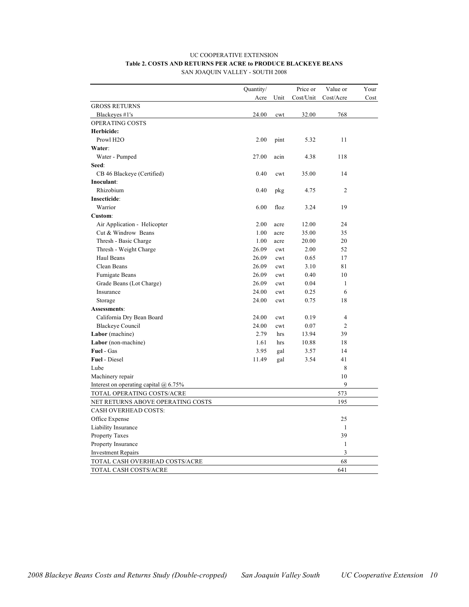#### UC COOPERATIVE EXTENSION **Table 2. COSTS AND RETURNS PER ACRE to PRODUCE BLACKEYE BEANS** SAN JOAQUIN VALLEY - SOUTH 2008

|                                         | Quantity/ |      | Price or  | Value or       | Your |
|-----------------------------------------|-----------|------|-----------|----------------|------|
|                                         | Acre      | Unit | Cost/Unit | Cost/Acre      | Cost |
| <b>GROSS RETURNS</b>                    |           |      |           |                |      |
| Blackeyes #1's                          | 24.00     | cwt  | 32.00     | 768            |      |
| OPERATING COSTS                         |           |      |           |                |      |
| Herbicide:                              |           |      |           |                |      |
| Prowl H <sub>2</sub> O                  | 2.00      | pint | 5.32      | 11             |      |
| Water:                                  |           |      |           |                |      |
| Water - Pumped                          | 27.00     | acin | 4.38      | 118            |      |
| Seed:                                   |           |      |           |                |      |
| CB 46 Blackeye (Certified)              | 0.40      | cwt  | 35.00     | 14             |      |
| Inoculant:                              |           |      |           |                |      |
| Rhizobium                               | 0.40      | pkg  | 4.75      | $\mathfrak{2}$ |      |
| Insecticide:                            |           |      |           |                |      |
| Warrior                                 | 6.00      | floz | 3.24      | 19             |      |
| Custom:                                 |           |      |           |                |      |
| Air Application - Helicopter            | 2.00      | acre | 12.00     | 24             |      |
| Cut & Windrow Beans                     | 1.00      | acre | 35.00     | 35             |      |
| Thresh - Basic Charge                   | 1.00      | acre | 20.00     | 20             |      |
| Thresh - Weight Charge                  | 26.09     | cwt  | 2.00      | 52             |      |
| Haul Beans                              | 26.09     | cwt  | 0.65      | 17             |      |
| Clean Beans                             | 26.09     | cwt  | 3.10      | 81             |      |
| <b>Fumigate Beans</b>                   | 26.09     | cwt  | 0.40      | 10             |      |
| Grade Beans (Lot Charge)                | 26.09     | cwt  | 0.04      | 1              |      |
| Insurance                               | 24.00     | cwt  | 0.25      | 6              |      |
| Storage                                 | 24.00     | cwt  | 0.75      | 18             |      |
| Assessments:                            |           |      |           |                |      |
| California Dry Bean Board               | 24.00     | cwt  | 0.19      | $\overline{4}$ |      |
| <b>Blackeye Council</b>                 | 24.00     | cwt  | 0.07      | $\overline{2}$ |      |
| Labor (machine)                         | 2.79      | hrs  | 13.94     | 39             |      |
| Labor (non-machine)                     | 1.61      | hrs  | 10.88     | 18             |      |
| Fuel - Gas                              | 3.95      | gal  | 3.57      | 14             |      |
| <b>Fuel</b> - Diesel                    | 11.49     | gal  | 3.54      | 41             |      |
| Lube                                    |           |      |           | 8              |      |
| Machinery repair                        |           |      |           | 10             |      |
| Interest on operating capital $@$ 6.75% |           |      |           | 9              |      |
| TOTAL OPERATING COSTS/ACRE              |           |      |           | 573            |      |
| NET RETURNS ABOVE OPERATING COSTS       |           |      |           | 195            |      |
| <b>CASH OVERHEAD COSTS:</b>             |           |      |           |                |      |
| Office Expense                          |           |      |           | 25             |      |
| Liability Insurance                     |           |      |           | $\mathbf{1}$   |      |
| Property Taxes                          |           |      |           | 39             |      |
| Property Insurance                      |           |      |           | $\mathbf{1}$   |      |
| <b>Investment Repairs</b>               |           |      |           | 3              |      |
| TOTAL CASH OVERHEAD COSTS/ACRE          |           |      |           | 68             |      |
| TOTAL CASH COSTS/ACRE                   |           |      |           | 641            |      |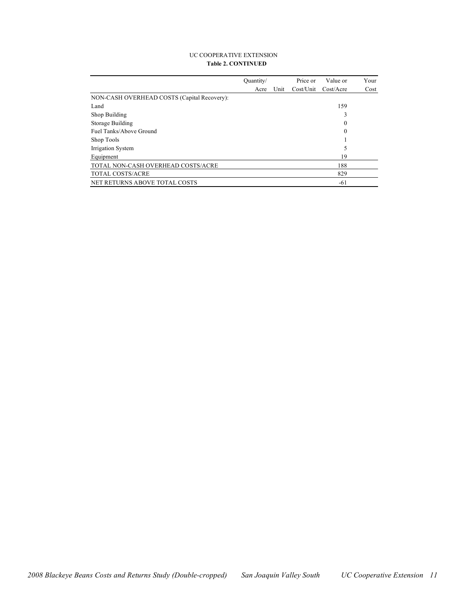#### UC COOPERATIVE EXTENSION **Table 2. CONTINUED**

|                                             | Ouantity/ |      | Price or  | Value or   | Your |
|---------------------------------------------|-----------|------|-----------|------------|------|
|                                             | Acre      | Unit | Cost/Unit | Cost/Accre | Cost |
| NON-CASH OVERHEAD COSTS (Capital Recovery): |           |      |           |            |      |
| Land                                        |           |      |           | 159        |      |
| Shop Building                               |           |      |           | 3          |      |
| Storage Building                            |           |      |           | 0          |      |
| Fuel Tanks/Above Ground                     |           |      |           | 0          |      |
| Shop Tools                                  |           |      |           |            |      |
| Irrigation System                           |           |      |           | 5          |      |
| Equipment                                   |           |      |           | 19         |      |
| TOTAL NON-CASH OVERHEAD COSTS/ACRE          |           |      |           | 188        |      |
| TOTAL COSTS/ACRE                            |           |      |           | 829        |      |
| NET RETURNS ABOVE TOTAL COSTS               |           |      |           | $-61$      |      |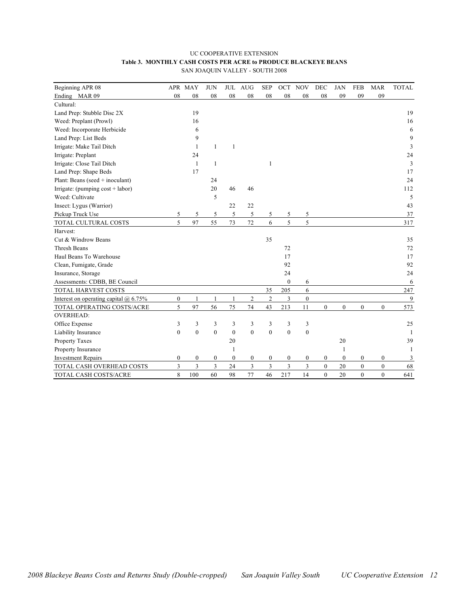| <b>UC COOPERATIVE EXTENSION</b>                                |  |  |  |  |  |  |  |  |  |
|----------------------------------------------------------------|--|--|--|--|--|--|--|--|--|
| Table 3. MONTHLY CASH COSTS PER ACRE to PRODUCE BLACKEYE BEANS |  |  |  |  |  |  |  |  |  |
| SAN JOAQUIN VALLEY - SOUTH 2008                                |  |  |  |  |  |  |  |  |  |

| Beginning APR 08                        |                  | APR MAY          | <b>JUN</b>     | <b>JUL</b>       | <b>AUG</b>       | <b>SEP</b>       | OCT              | <b>NOV</b>       | DEC              | <b>JAN</b>       | <b>FEB</b>       | <b>MAR</b>       | <b>TOTAL</b> |
|-----------------------------------------|------------------|------------------|----------------|------------------|------------------|------------------|------------------|------------------|------------------|------------------|------------------|------------------|--------------|
| Ending MAR 09                           | 08               | 08               | 08             | 08               | 08               | ${\bf 08}$       | ${\bf 08}$       | 08               | 08               | 09               | 09               | 09               |              |
| Cultural:                               |                  |                  |                |                  |                  |                  |                  |                  |                  |                  |                  |                  |              |
| Land Prep: Stubble Disc 2X              |                  | 19               |                |                  |                  |                  |                  |                  |                  |                  |                  |                  | 19           |
| Weed: Preplant (Prowl)                  |                  | 16               |                |                  |                  |                  |                  |                  |                  |                  |                  |                  | 16           |
| Weed: Incorporate Herbicide             |                  | 6                |                |                  |                  |                  |                  |                  |                  |                  |                  |                  | 6            |
| Land Prep: List Beds                    |                  | 9                |                |                  |                  |                  |                  |                  |                  |                  |                  |                  | 9            |
| Irrigate: Make Tail Ditch               |                  | $\mathbf{1}$     | 1              | 1                |                  |                  |                  |                  |                  |                  |                  |                  | 3            |
| Irrigate: Preplant                      |                  | 24               |                |                  |                  |                  |                  |                  |                  |                  |                  |                  | 24           |
| Irrigate: Close Tail Ditch              |                  | $\mathbf{1}$     | 1              |                  |                  | 1                |                  |                  |                  |                  |                  |                  | 3            |
| Land Prep: Shape Beds                   |                  | 17               |                |                  |                  |                  |                  |                  |                  |                  |                  |                  | 17           |
| Plant: Beans (seed + inoculant)         |                  |                  | 24             |                  |                  |                  |                  |                  |                  |                  |                  |                  | 24           |
| Irrigate: (pumping cost + labor)        |                  |                  | 20             | 46               | 46               |                  |                  |                  |                  |                  |                  |                  | 112          |
| Weed: Cultivate                         |                  |                  | 5              |                  |                  |                  |                  |                  |                  |                  |                  |                  | 5            |
| Insect: Lygus (Warrior)                 |                  |                  |                | 22               | 22               |                  |                  |                  |                  |                  |                  |                  | 43           |
| Pickup Truck Use                        | 5                | 5                | 5              | 5                | 5                | 5                | 5                | 5                |                  |                  |                  |                  | 37           |
| TOTAL CULTURAL COSTS                    | 5                | 97               | 55             | 73               | 72               | 6                | 5                | 5                |                  |                  |                  |                  | 317          |
| Harvest:                                |                  |                  |                |                  |                  |                  |                  |                  |                  |                  |                  |                  |              |
| Cut & Windrow Beans                     |                  |                  |                |                  |                  | 35               |                  |                  |                  |                  |                  |                  | 35           |
| <b>Thresh Beans</b>                     |                  |                  |                |                  |                  |                  | 72               |                  |                  |                  |                  |                  | 72           |
| Haul Beans To Warehouse                 |                  |                  |                |                  |                  |                  | 17               |                  |                  |                  |                  |                  | 17           |
| Clean, Fumigate, Grade                  |                  |                  |                |                  |                  |                  | 92               |                  |                  |                  |                  |                  | 92           |
| Insurance, Storage                      |                  |                  |                |                  |                  |                  | 24               |                  |                  |                  |                  |                  | 24           |
| Assessments: CDBB, BE Council           |                  |                  |                |                  |                  |                  | $\boldsymbol{0}$ | 6                |                  |                  |                  |                  | 6            |
| TOTAL HARVEST COSTS                     |                  |                  |                |                  |                  | 35               | 205              | 6                |                  |                  |                  |                  | 247          |
| Interest on operating capital $@$ 6.75% | $\boldsymbol{0}$ | $\mathbf{1}$     | 1              | $\mathbf{1}$     | $\overline{c}$   | $\overline{c}$   | 3                | $\mathbf{0}$     |                  |                  |                  |                  | 9            |
| TOTAL OPERATING COSTS/ACRE              | 5                | 97               | 56             | 75               | 74               | 43               | 213              | 11               | $\mathbf{0}$     | $\mathbf{0}$     | $\overline{0}$   | $\overline{0}$   | 573          |
| <b>OVERHEAD:</b>                        |                  |                  |                |                  |                  |                  |                  |                  |                  |                  |                  |                  |              |
| Office Expense                          | 3                | 3                | 3              | 3                | 3                | 3                | 3                | 3                |                  |                  |                  |                  | 25           |
| Liability Insurance                     | $\mathbf{0}$     | $\mathbf{0}$     | $\theta$       | $\theta$         | $\theta$         | $\theta$         | $\mathbf{0}$     | $\mathbf{0}$     |                  |                  |                  |                  | -1           |
| Property Taxes                          |                  |                  |                | 20               |                  |                  |                  |                  |                  | 20               |                  |                  | 39           |
| Property Insurance                      |                  |                  |                | 1                |                  |                  |                  |                  |                  | 1                |                  |                  | 1            |
| <b>Investment Repairs</b>               | $\boldsymbol{0}$ | $\boldsymbol{0}$ | 0              | $\boldsymbol{0}$ | $\boldsymbol{0}$ | $\boldsymbol{0}$ | $\boldsymbol{0}$ | $\boldsymbol{0}$ | $\boldsymbol{0}$ | $\boldsymbol{0}$ | $\boldsymbol{0}$ | $\boldsymbol{0}$ | 3            |
| TOTAL CASH OVERHEAD COSTS               | 3                | 3                | $\overline{3}$ | 24               | 3                | 3                | 3                | 3                | $\boldsymbol{0}$ | 20               | $\boldsymbol{0}$ | $\boldsymbol{0}$ | 68           |
| TOTAL CASH COSTS/ACRE                   | 8                | 100              | 60             | 98               | 77               | 46               | 217              | 14               | $\theta$         | 20               | $\theta$         | $\theta$         | 641          |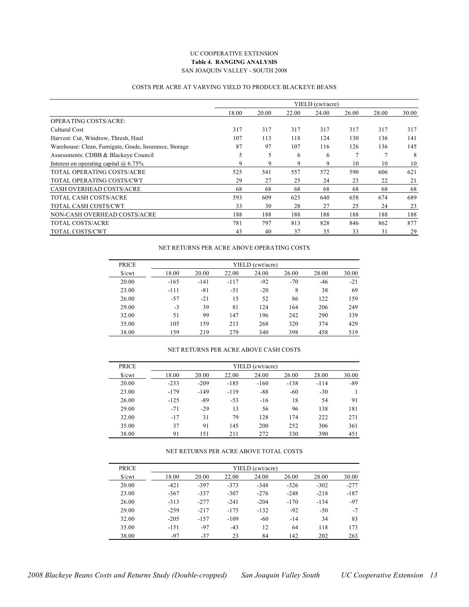#### UC COOPERATIVE EXTENSION **Table 4. RANGING ANALYSIS** SAN JOAQUIN VALLEY - SOUTH 2008

#### COSTS PER ACRE AT VARYING YIELD TO PRODUCE BLACKEYE BEANS

|                                                       |       |       |       | YIELD (cwt/acre) |       |       |       |
|-------------------------------------------------------|-------|-------|-------|------------------|-------|-------|-------|
|                                                       | 18.00 | 20.00 | 22.00 | 24.00            | 26.00 | 28.00 | 30.00 |
| <b>OPERATING COSTS/ACRE:</b>                          |       |       |       |                  |       |       |       |
| Cultural Cost                                         | 317   | 317   | 317   | 317              | 317   | 317   | 317   |
| Harvest: Cut, Windrow, Thresh, Haul                   | 107   | 113   | 118   | 124              | 130   | 136   | 141   |
| Warehouse: Clean, Fumigate, Grade, Insurance, Storage | 87    | 97    | 107   | 116              | 126   | 136   | 145   |
| Assessments: CDBB & Blackeye Council                  | 5     | 5     | 6     | 6                | 7     | 7     | 8     |
| Interest on operating capital $\omega$ 6.75%          | 9     | 9     | 9     | 9                | 10    | 10    | 10    |
| TOTAL OPERATING COSTS/ACRE                            | 525   | 541   | 557   | 572              | 590   | 606   | 621   |
| TOTAL OPERATING COSTS/CWT                             | 29    | 27    | 25    | 24               | 23    | 22    | 21    |
| <b>CASH OVERHEAD COSTS/ACRE</b>                       | 68    | 68    | 68    | 68               | 68    | 68    | 68    |
| TOTAL CASH COSTS/ACRE                                 | 593   | 609   | 625   | 640              | 658   | 674   | 689   |
| TOTAL CASH COSTS/CWT                                  | 33    | 30    | 28    | 27               | 25    | 24    | 23    |
| NON-CASH OVERHEAD COSTS/ACRE                          | 188   | 188   | 188   | 188              | 188   | 188   | 188   |
| TOTAL COSTS/ACRE                                      | 781   | 797   | 813   | 828              | 846   | 862   | 877   |
| TOTAL COSTS/CWT                                       | 43    | 40    | 37    | 35               | 33    | 31    | 29    |

#### NET RETURNS PER ACRE ABOVE OPERATING COSTS

| <b>PRICE</b>    | YIELD (cwt/acre) |        |        |       |       |       |       |  |  |  |  |
|-----------------|------------------|--------|--------|-------|-------|-------|-------|--|--|--|--|
| $\sqrt{\}$ /cwt | 18.00            | 20.00  | 22.00  | 24.00 | 26.00 | 28.00 | 30.00 |  |  |  |  |
| 20.00           | $-165$           | $-141$ | $-117$ | $-92$ | $-70$ | $-46$ | $-21$ |  |  |  |  |
| 23.00           | $-111$           | $-81$  | $-51$  | $-20$ | 8     | 38    | 69    |  |  |  |  |
| 26.00           | $-57$            | $-21$  | 15     | 52    | 86    | 122   | 159   |  |  |  |  |
| 29.00           | $-3$             | 39     | 81     | 124   | 164   | 206   | 249   |  |  |  |  |
| 32.00           | 51               | 99     | 147    | 196   | 242   | 290   | 339   |  |  |  |  |
| 35.00           | 105              | 159    | 213    | 268   | 320   | 374   | 429   |  |  |  |  |
| 38.00           | 159              | 219    | 279    | 340   | 398   | 458   | 519   |  |  |  |  |

#### NET RETURNS PER ACRE ABOVE CASH COSTS

| <b>PRICE</b>        |        | YIELD (cwt/acre) |        |        |        |        |       |  |  |  |  |  |
|---------------------|--------|------------------|--------|--------|--------|--------|-------|--|--|--|--|--|
| $\sqrt{\text{cwt}}$ | 18.00  | 20.00            | 22.00  | 24.00  | 26.00  | 28.00  | 30.00 |  |  |  |  |  |
| 20.00               | $-233$ | $-209$           | $-185$ | $-160$ | $-138$ | $-114$ | $-89$ |  |  |  |  |  |
| 23.00               | $-179$ | $-149$           | $-119$ | $-88$  | $-60$  | $-30$  |       |  |  |  |  |  |
| 26.00               | $-125$ | $-89$            | $-53$  | $-16$  | 18     | 54     | 91    |  |  |  |  |  |
| 29.00               | $-71$  | $-29$            | 13     | 56     | 96     | 138    | 181   |  |  |  |  |  |
| 32.00               | $-17$  | 31               | 79     | 128    | 174    | 222    | 271   |  |  |  |  |  |
| 35.00               | 37     | 91               | 145    | 200    | 252    | 306    | 361   |  |  |  |  |  |
| 38.00               | 91     | 151              | 211    | 272    | 330    | 390    | 451   |  |  |  |  |  |

#### NET RETURNS PER ACRE ABOVE TOTAL COSTS

| <b>PRICE</b> |        |        |        | YIELD (cwt/acre) |        |        |        |
|--------------|--------|--------|--------|------------------|--------|--------|--------|
| S/cwt        | 18.00  | 20.00  | 22.00  | 24.00            | 26.00  | 28.00  | 30.00  |
| 20.00        | $-421$ | $-397$ | $-373$ | $-348$           | $-326$ | $-302$ | $-277$ |
| 23.00        | $-367$ | $-337$ | $-307$ | $-276$           | $-248$ | $-218$ | $-187$ |
| 26.00        | $-313$ | $-277$ | $-241$ | $-204$           | $-170$ | $-134$ | $-97$  |
| 29.00        | $-259$ | $-217$ | $-175$ | $-132$           | $-92$  | $-50$  | $-7$   |
| 32.00        | $-205$ | $-157$ | $-109$ | $-60$            | $-14$  | 34     | 83     |
| 35.00        | $-151$ | $-97$  | $-43$  | 12               | 64     | 118    | 173    |
| 38.00        | $-97$  | $-37$  | 23     | 84               | 142    | 202    | 263    |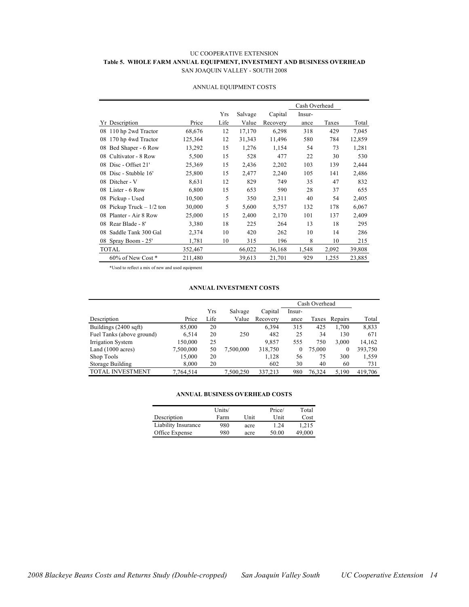#### UC COOPERATIVE EXTENSION **Table 5. WHOLE FARM ANNUAL EQUIPMENT, INVESTMENT AND BUSINESS OVERHEAD** SAN JOAQUIN VALLEY - SOUTH 2008

|                               |         |      |         |          | Cash Overhead |       |        |
|-------------------------------|---------|------|---------|----------|---------------|-------|--------|
|                               |         | Yrs  | Salvage | Capital  | Insur-        |       |        |
| Yr Description                | Price   | Life | Value   | Recovery | ance          | Taxes | Total  |
| 110 hp 2wd Tractor<br>08      | 68,676  | 12   | 17,170  | 6,298    | 318           | 429   | 7,045  |
| 170 hp 4wd Tractor<br>08      | 125,364 | 12   | 31,343  | 11,496   | 580           | 784   | 12,859 |
| Bed Shaper - 6 Row<br>08      | 13,292  | 15   | 1,276   | 1,154    | 54            | 73    | 1,281  |
| Cultivator - 8 Row<br>08      | 5,500   | 15   | 528     | 477      | 22            | 30    | 530    |
| Disc - Offset 21'<br>08       | 25,369  | 15   | 2,436   | 2,202    | 103           | 139   | 2,444  |
| Disc - Stubble 16'<br>08      | 25,800  | 15   | 2,477   | 2,240    | 105           | 141   | 2,486  |
| Ditcher - V<br>08             | 8,631   | 12   | 829     | 749      | 35            | 47    | 832    |
| Lister - 6 Row<br>08          | 6,800   | 15   | 653     | 590      | 28            | 37    | 655    |
| Pickup - Used<br>08           | 10,500  | 5    | 350     | 2,311    | 40            | 54    | 2,405  |
| Pickup Truck $-1/2$ ton<br>08 | 30,000  | 5    | 5,600   | 5,757    | 132           | 178   | 6,067  |
| Planter - Air 8 Row<br>08     | 25,000  | 15   | 2,400   | 2,170    | 101           | 137   | 2,409  |
| Rear Blade - 8'<br>08         | 3,380   | 18   | 225     | 264      | 13            | 18    | 295    |
| Saddle Tank 300 Gal<br>08     | 2,374   | 10   | 420     | 262      | 10            | 14    | 286    |
| Spray Boom - 25'<br>08        | 1,781   | 10   | 315     | 196      | 8             | 10    | 215    |
| <b>TOTAL</b>                  | 352,467 |      | 66,022  | 36,168   | 1,548         | 2,092 | 39,808 |
| $60\%$ of New Cost $*$        | 211,480 |      | 39,613  | 21,701   | 929           | 1,255 | 23,885 |

#### ANNUAL EQUIPMENT COSTS

\*Used to reflect a mix of new and used equipment

#### **ANNUAL INVESTMENT COSTS**

|                             |           |      |           |          | Cash Overhead |        |               |         |
|-----------------------------|-----------|------|-----------|----------|---------------|--------|---------------|---------|
|                             |           | Yrs  | Salvage   | Capital  | Insur-        |        |               |         |
| Description                 | Price     | Life | Value     | Recovery | ance          |        | Taxes Repairs | Total   |
| Buildings (2400 sqft)       | 85,000    | 20   |           | 6.394    | 315           | 425    | 1.700         | 8,833   |
| Fuel Tanks (above ground)   | 6,514     | 20   | 250       | 482      | 25            | 34     | 130           | 671     |
| Irrigation System           | 150,000   | 25   |           | 9,857    | 555           | 750    | 3,000         | 14,162  |
| Land $(1000 \text{ acres})$ | 7,500,000 | 50   | 7,500,000 | 318,750  | $\mathbf{0}$  | 75,000 | $\mathbf{0}$  | 393,750 |
| Shop Tools                  | 15,000    | 20   |           | 1,128    | 56            | 75     | 300           | 1,559   |
| Storage Building            | 8,000     | 20   |           | 602      | 30            | 40     | 60            | 731     |
| <b>TOTAL INVESTMENT</b>     | 7,764,514 |      | 7,500,250 | 337,213  | 980           | 76.324 | 5.190         | 419.706 |

#### **ANNUAL BUSINESS OVERHEAD COSTS**

|                     | Units/ |      | Price/ | Total  |
|---------------------|--------|------|--------|--------|
| Description         | Farm   | Unit | Unit   | Cost   |
| Liability Insurance | 980    | acre | 1.24   | 1.215  |
| Office Expense      | 980    | acre | 50.00  | 49.000 |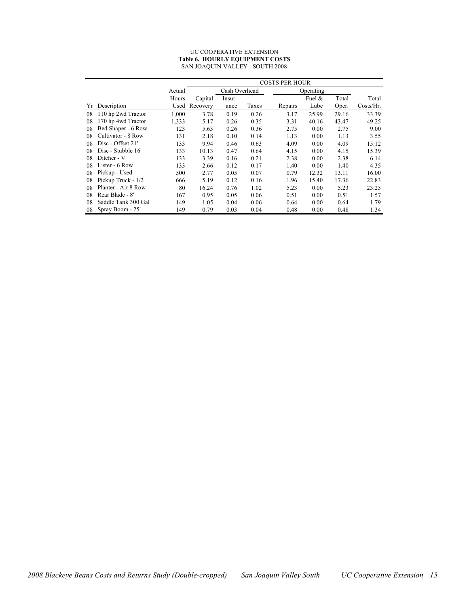#### UC COOPERATIVE EXTENSION **Table 6. HOURLY EQUIPMENT COSTS** SAN JOAQUIN VALLEY - SOUTH 2008

|    |                     |        | <b>COSTS PER HOUR</b> |               |       |         |           |       |           |
|----|---------------------|--------|-----------------------|---------------|-------|---------|-----------|-------|-----------|
|    |                     | Actual |                       | Cash Overhead |       |         | Operating |       |           |
|    |                     | Hours  | Capital               | Insur-        |       |         | Fuel $\&$ | Total | Total     |
| Yr | Description         | Used   | Recovery              | ance          | Taxes | Repairs | Lube      | Oper. | Costs/Hr. |
| 08 | 110 hp 2wd Tractor  | 1,000  | 3.78                  | 0.19          | 0.26  | 3.17    | 25.99     | 29.16 | 33.39     |
| 08 | 170 hp 4wd Tractor  | 1,333  | 5.17                  | 0.26          | 0.35  | 3.31    | 40.16     | 43.47 | 49.25     |
| 08 | Bed Shaper - 6 Row  | 123    | 5.63                  | 0.26          | 0.36  | 2.75    | 0.00      | 2.75  | 9.00      |
| 08 | Cultivator - 8 Row  | 131    | 2.18                  | 0.10          | 0.14  | 1.13    | 0.00      | 1.13  | 3.55      |
| 08 | Disc - Offset 21'   | 133    | 9.94                  | 0.46          | 0.63  | 4.09    | 0.00      | 4.09  | 15.12     |
| 08 | Disc - Stubble 16'  | 133    | 10.13                 | 0.47          | 0.64  | 4.15    | 0.00      | 4.15  | 15.39     |
| 08 | Ditcher - V         | 133    | 3.39                  | 0.16          | 0.21  | 2.38    | 0.00      | 2.38  | 6.14      |
| 08 | Lister - 6 Row      | 133    | 2.66                  | 0.12          | 0.17  | 1.40    | 0.00      | 1.40  | 4.35      |
| 08 | Pickup - Used       | 500    | 2.77                  | 0.05          | 0.07  | 0.79    | 12.32     | 13.11 | 16.00     |
| 08 | Pickup Truck - 1/2  | 666    | 5.19                  | 0.12          | 0.16  | 1.96    | 15.40     | 17.36 | 22.83     |
| 08 | Planter - Air 8 Row | 80     | 16.24                 | 0.76          | 1.02  | 5.23    | 0.00      | 5.23  | 23.25     |
| 08 | Rear Blade - 8'     | 167    | 0.95                  | 0.05          | 0.06  | 0.51    | 0.00      | 0.51  | 1.57      |
| 08 | Saddle Tank 300 Gal | 149    | 1.05                  | 0.04          | 0.06  | 0.64    | 0.00      | 0.64  | 1.79      |
| 08 | Spray Boom - 25'    | 149    | 0.79                  | 0.03          | 0.04  | 0.48    | 0.00      | 0.48  | 1.34      |